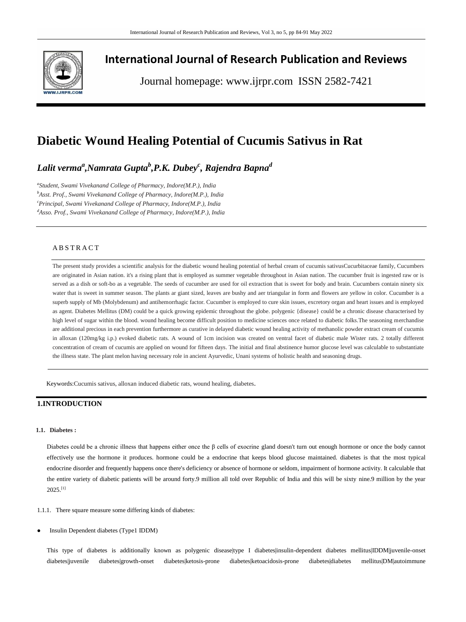

# **International Journal of Research Publication and Reviews**

Journal homepage: www.ijrpr.com ISSN 2582-7421

# **Diabetic Wound Healing Potential of Cucumis Sativus in Rat**

*Lalit verma<sup>a</sup> ,Namrata Gupta<sup>b</sup> ,P.K. Dubey<sup>c</sup> , Rajendra Bapna<sup>d</sup>*

*a Student, Swami Vivekanand College of Pharmacy, Indore(M.P.), India <sup>b</sup>Asst. Prof., Swami Vivekanand College of Pharmacy, Indore(M.P.), India <sup>c</sup>Principal, Swami Vivekanand College of Pharmacy, Indore(M.P.), India <sup>d</sup>Asso. Prof., Swami Vivekanand College of Pharmacy, Indore(M.P.), India*

## A B S T R A C T

The present study provides a scientific analysis for the diabetic wound healing potential of herbal cream of cucumis sativu[sCucurbitaceae](https://en.wikipedia.org/wiki/Cucurbitaceae) family, Cucumbers are originated in Asian nation. it's a rising plant that is employed as summer vegetable throughout in Asian nation. The cucumber fruit is ingested raw or is served as a dish or soft-bo as a vegetable. The seeds of cucumber are used for oil extraction that is sweet for body and brain. Cucumbers contain ninety six water that is sweet in summer season. The plants ar giant sized, leaves are bushy and aer triangular in form and flowers are yellow in color. Cucumber is a superb supply of Mb (Molybdenum) and antihemorrhagic factor. Cucumber is employed to cure skin issues, excretory organ and heart issues and is employed as agent. Diabetes Mellitus (DM) could be a quick growing epidemic throughout the globe. polygenic {disease} could be a chronic disease characterised by high level of sugar within the blood. wound healing become difficult position to medicine sciences once related to diabetic folks.The seasoning merchandise are additional precious in each prevention furthermore as curative in delayed diabetic wound healing activity of methanolic powder extract cream of cucumis in alloxan (120mg/kg i.p.) evoked diabetic rats. A wound of 1cm incision was created on ventral facet of diabetic male Wister rats. 2 totally different concentration of cream of cucumis are applied on wound for fifteen days. The initial and final abstinence humor glucose level was calculable to substantiate the illness state. The plant melon having necessary role in ancient Ayurvedic, Unani systems of holistic health and seasoning drugs.

Keywords:Cucumis sativus, alloxan induced diabetic rats, wound healing, diabetes.

# **1.INTRODUCTION**

#### **1.1. Diabetes :**

Diabetes could be a chronic illness that happens either once the β cells of exocrine gland doesn't turn out enough hormone or once the body cannot effectively use the hormone it produces. hormone could be a endocrine that keeps blood glucose maintained. diabetes is that the most typical endocrine disorder and frequently happens once there's deficiency or absence of hormone or seldom, impairment of hormone activity. It calculable that the entire variety of diabetic patients will be around forty.9 million all told over Republic of India and this will be sixty nine.9 million by the year  $2025$ <sup>[1]</sup>

1.1.1. There square measure some differing kinds of diabetes:

Insulin Dependent diabetes (Type1 IDDM)

This type of diabetes is additionally known as polygenic disease|type I diabetes|insulin-dependent diabetes mellitus|IDDM|juvenile-onset diabetes|juvenile diabetes|growth-onset diabetes|ketosis-prone diabetes|ketoacidosis-prone diabetes|diabetes mellitus|DM|autoimmune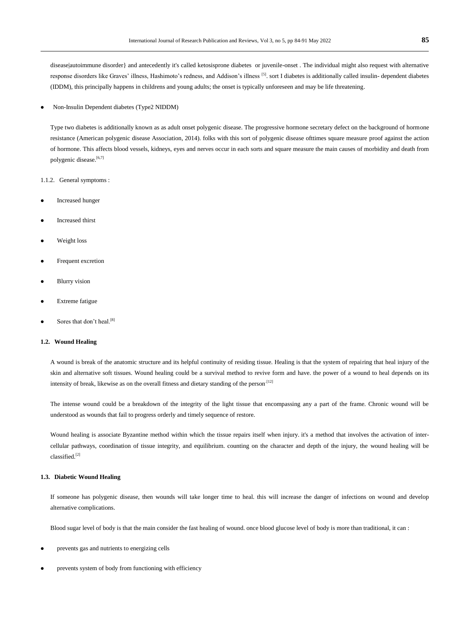disease|autoimmune disorder} and antecedently it's called ketosisprone diabetes or juvenile-onset. The individual might also request with alternative response disorders like Graves' illness, Hashimoto's redness, and Addison's illness [5]. sort I diabetes is additionally called insulin- dependent diabetes (IDDM), this principally happens in childrens and young adults; the onset is typically unforeseen and may be life threatening.

#### Non-Insulin Dependent diabetes (Type2 NIDDM)

Type two diabetes is additionally known as as adult onset polygenic disease. The progressive hormone secretary defect on the background of hormone resistance (American polygenic disease Association, 2014). folks with this sort of polygenic disease ofttimes square measure proof against the action of hormone. This affects blood vessels, kidneys, eyes and nerves occur in each sorts and square measure the main causes of morbidity and death from polygenic disease.<sup>[6,7]</sup>

1.1.2. General symptoms :

- Increased hunger
- Increased thirst
- Weight loss
- Frequent excretion
- Blurry vision
- Extreme fatigue
- Sores that don't heal.<sup>[8]</sup>

## **1.2. Wound Healing**

A wound is break of the anatomic structure and its helpful continuity of residing tissue. Healing is that the system of repairing that heal injury of the skin and alternative soft tissues. Wound healing could be a survival method to revive form and have. the power of a wound to heal depends on its intensity of break, likewise as on the overall fitness and dietary standing of the person.<sup>[12]</sup>

The intense wound could be a breakdown of the integrity of the light tissue that encompassing any a part of the frame. Chronic wound will be understood as wounds that fail to progress orderly and timely sequence of restore.

Wound healing is associate Byzantine method within which the tissue repairs itself when injury. it's a method that involves the activation of intercellular pathways, coordination of tissue integrity, and equilibrium. counting on the character and depth of the injury, the wound healing will be classified.[2]

#### **1.3. Diabetic Wound Healing**

If someone has polygenic disease, then wounds will take longer time to heal. this will increase the danger of infections on wound and develop alternative complications.

Blood sugar level of body is that the main consider the fast healing of wound. once blood glucose level of body is more than traditional, it can :

- prevents gas and nutrients to energizing cells
- prevents system of body from functioning with efficiency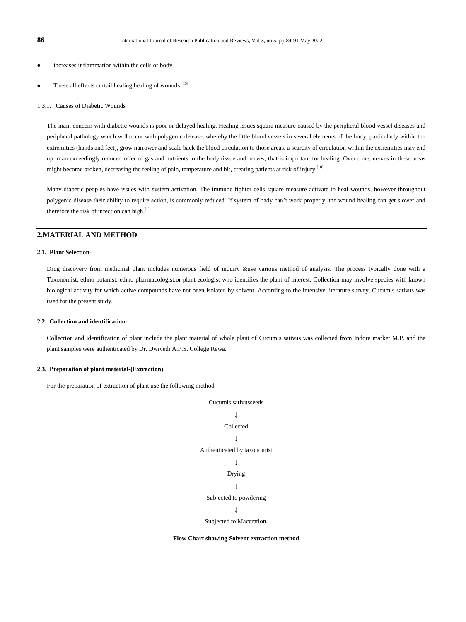- increases inflammation within the cells of body
- These all effects curtail healing healing of wounds.<sup>[15]</sup>

#### 1.3.1. Causes of Diabetic Wounds

The main concern with diabetic wounds is poor or delayed healing. Healing issues square measure caused by the peripheral blood vessel diseases and peripheral pathology which will occur with polygenic disease, whereby the little blood vessels in several elements of the body, particularly within the extremities (hands and feet), grow narrower and scale back the blood circulation to those areas. a scarcity of circulation within the extremities may end up in an exceedingly reduced offer of gas and nutrients to the body tissue and nerves, that is important for healing. Over time, nerves in these areas might become broken, decreasing the feeling of pain, temperature and bit, creating patients at risk of injury.<sup>[10]</sup>

Many diabetic peoples have issues with system activation. The immune fighter cells square measure activate to heal wounds, however throughout polygenic disease their ability to require action, is commonly reduced. If system of bady can"t work properly, the wound healing can get slower and therefore the risk of infection can high.<sup>[1]</sup>

# **2.MATERIAL AND METHOD**

#### **2.1. Plant Selection-**

Drug discovery from medicinal plant includes numerous field of inquiry &use various method of analysis. The process typically done with a Taxonomist, ethno botanist, ethno pharmacologist,or plant ecologist who identifies the plant of interest. Collection may involve species with known biological activity for which active compounds have not been isolated by solvent. According to the intensive literature survey, Cucumis sativus was used for the present study.

#### **2.2. Collection and identification-**

Collection and identification of plant include the plant material of whole plant of Cucumis sativus was collected from Indore market M.P. and the plant samples were authenticated by Dr. Dwivedi A.P.S. College Rewa.

#### **2.3. Preparation of plant material-(Extraction)**

For the preparation of extraction of plant use the following method-

Cucumis sativusseeds ↓ Collected ↓ Authenticated by taxonomist ↓ Drying ↓ Subjected to powdering ↓ Subjected to Maceration.

**Flow Chart showing Solvent extraction method**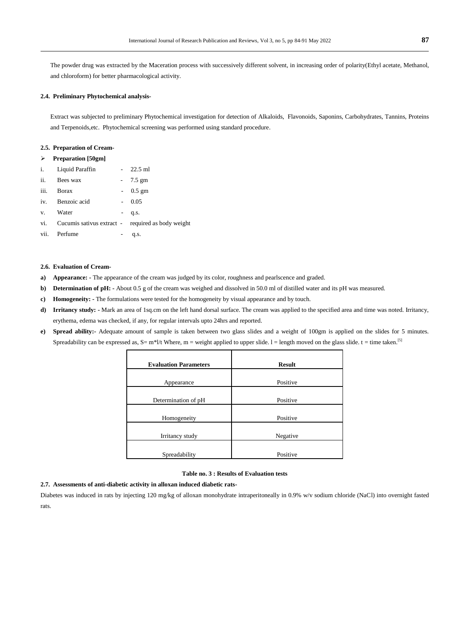The powder drug was extracted by the Maceration process with successively different solvent, in increasing order of polarity(Ethyl acetate, Methanol, and chloroform) for better pharmacological activity.

#### **2.4. Preliminary Phytochemical analysis-**

Extract was subjected to preliminary Phytochemical investigation for detection of Alkaloids, Flavonoids, Saponins, Carbohydrates, Tannins, Proteins and Terpenoids,etc. Phytochemical screening was performed using standard procedure.

### **2.5. Preparation of Cream-**

| ⋗ | <b>Preparation</b> [50gm] |
|---|---------------------------|
|---|---------------------------|

|              | i. Liquid Paraffin                                    | $-22.5$ ml |
|--------------|-------------------------------------------------------|------------|
| ii.          | Bees wax                                              | $-7.5$ gm  |
| iii.         | <b>B</b> orax                                         | $-0.5$ gm  |
|              | iv. Benzoic acid                                      | 0.05       |
| $V_{\rm{L}}$ | Water                                                 | $-$ q.s.   |
|              | vi. Cucumis sativus extract - required as body weight |            |
| vii.         | Perfume                                               | q.s.       |
|              |                                                       |            |

#### **2.6. Evaluation of Cream-**

- **a) Appearance: -** The appearance of the cream was judged by its color, roughness and pearlscence and graded.
- **b) Determination of pH:** About 0.5 g of the cream was weighed and dissolved in 50.0 ml of distilled water and its pH was measured.
- **c) Homogeneity: -** The formulations were tested for the homogeneity by visual appearance and by touch.
- **d) Irritancy study: -** Mark an area of 1sq.cm on the left hand dorsal surface. The cream was applied to the specified area and time was noted. Irritancy, erythema, edema was checked, if any, for regular intervals upto 24hrs and reported.
- **e) Spread ability:-** Adequate amount of sample is taken between two glass slides and a weight of 100gm is applied on the slides for 5 minutes. Spreadability can be expressed as,  $S = m^*1/t$  Where,  $m =$  weight applied to upper slide.  $l =$ length moved on the glass slide.  $t =$  time taken.<sup>[5]</sup>

| <b>Evaluation Parameters</b> | <b>Result</b> |
|------------------------------|---------------|
| Appearance                   | Positive      |
| Determination of pH          | Positive      |
| Homogeneity                  | Positive      |
| Irritancy study              | Negative      |
| Spreadability                | Positive      |

## **Table no. 3 : Results of Evaluation tests**

## **2.7. Assessments of anti-diabetic activity in alloxan induced diabetic rats-**

Diabetes was induced in rats by injecting 120 mg/kg of alloxan monohydrate intraperitoneally in 0.9% w/v sodium chloride (NaCl) into overnight fasted rats.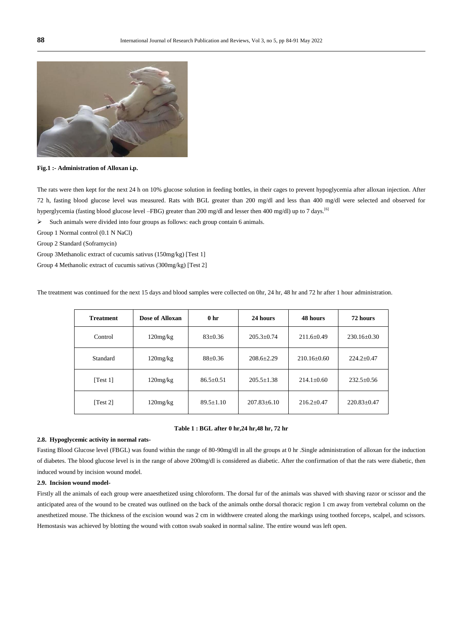

**Fig.1 :- Administration of Alloxan i.p.**

The rats were then kept for the next 24 h on 10% glucose solution in feeding bottles, in their cages to prevent hypoglycemia after alloxan injection. After 72 h, fasting blood glucose level was measured. Rats with BGL greater than 200 mg/dl and less than 400 mg/dl were selected and observed for hyperglycemia (fasting blood glucose level –FBG) greater than 200 mg/dl and lesser then 400 mg/dl) up to 7 days.[6]

 $\triangleright$  Such animals were divided into four groups as follows: each group contain 6 animals.

Group 1 Normal control (0.1 N NaCl)

Group 2 Standard (Soframycin)

Group 3Methanolic extract of cucumis sativus (150mg/kg) [Test 1]

Group 4 Methanolic extract of cucumis sativus (300mg/kg) [Test 2]

| <b>Treatment</b> | Dose of Alloxan | 0 <sub>hr</sub>                   | 24 hours          | 48 hours         | 72 hours          |  |
|------------------|-----------------|-----------------------------------|-------------------|------------------|-------------------|--|
| Control          | $120$ mg/kg     | $83 \pm 0.36$                     | $205.3 + 0.74$    | $211.6 \pm 0.49$ | $230.16 \pm 0.30$ |  |
| Standard         | $120$ mg/kg     | $208.6 \pm 2.29$<br>$88 \pm 0.36$ |                   | $210.16\pm0.60$  | $224.2 \pm 0.47$  |  |
| Test 11          | $120$ mg/kg     | $86.5 \pm 0.51$                   | $205.5 \pm 1.38$  | $214.1 \pm 0.60$ | $232.5 \pm 0.56$  |  |
| Test 21          | $120$ mg/kg     | $89.5 \pm 1.10$                   | $207.83 \pm 6.10$ | $216.2 + 0.47$   | $220.83 \pm 0.47$ |  |

The treatment was continued for the next 15 days and blood samples were collected on 0hr, 24 hr, 48 hr and 72 hr after 1 hour administration.

#### **Table 1 : BGL after 0 hr,24 hr,48 hr, 72 hr**

#### **2.8. Hypoglycemic activity in normal rats-**

Fasting Blood Glucose level (FBGL) was found within the range of 80-90mg/dl in all the groups at 0 hr .Single administration of alloxan for the induction of diabetes. The blood glucose level is in the range of above 200mg/dl is considered as diabetic. After the confirmation of that the rats were diabetic, then induced wound by incision wound model.

#### **2.9. Incision wound model-**

Firstly all the animals of each group were anaesthetized using chloroform. The dorsal fur of the animals was shaved with shaving razor or scissor and the anticipated area of the wound to be created was outlined on the back of the animals onthe dorsal thoracic region 1 cm away from vertebral column on the anesthetized mouse. The thickness of the excision wound was 2 cm in widthwere created along the markings using toothed forceps, scalpel, and scissors. Hemostasis was achieved by blotting the wound with cotton swab soaked in normal saline. The entire wound was left open.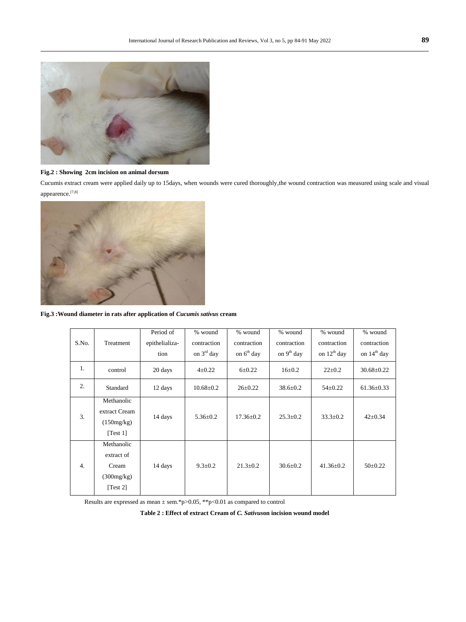

# **Fig.2 : Showing 2cm incision on animal dorsum**

Cucumis extract cream were applied daily up to 15days, when wounds were cured thoroughly,the wound contraction was measured using scale and visual appearence.<sup>[7,8]</sup>



**Fig.3 :Wound diameter in rats after application of** *Cucumis sativus* **cream**

| S.No.            |               | Period of              | % wound<br>contraction | % wound<br>contraction | % wound                     | % wound<br>contraction | % wound<br>contraction |
|------------------|---------------|------------------------|------------------------|------------------------|-----------------------------|------------------------|------------------------|
|                  | Treatment     | epithelializa-<br>tion | on $3^{\text{rd}}$ day | on $6th$ day           | contraction<br>on $9th$ day | on $12^{th}$ day       | on $14th$ day          |
|                  |               |                        |                        |                        |                             |                        |                        |
| 1.               | control       | 20 days                | $4\pm 0.22$            | $6 + 0.22$             | $16 \pm 0.2$                | $22 \pm 0.2$           | $30.68 \pm 0.22$       |
| 2.               | Standard      | 12 days                | $10.68 \pm 0.2$        | $26 \pm 0.22$          | $38.6 \pm 0.2$              | $54 \pm 0.22$          | $61.36 \pm 0.33$       |
| 3.               | Methanolic    |                        |                        |                        |                             |                        |                        |
|                  | extract Cream | 14 days                | $5.36 \pm 0.2$         | $17.36 \pm 0.2$        | $25.3 \pm 0.2$              | $33.3 \pm 0.2$         | $42 \pm 0.34$          |
|                  | (150mg/kg)    |                        |                        |                        |                             |                        |                        |
|                  | [Test 1]      |                        |                        |                        |                             |                        |                        |
| $\overline{4}$ . | Methanolic    |                        |                        |                        |                             |                        |                        |
|                  | extract of    |                        |                        |                        |                             |                        |                        |
|                  | Cream         | 14 days                | $9.3 \pm 0.2$          | $21.3 \pm 0.2$         | $30.6 \pm 0.2$              | $41.36 \pm 0.2$        | $50\pm0.22$            |
|                  | (300mg/kg)    |                        |                        |                        |                             |                        |                        |
|                  | [Test 2]      |                        |                        |                        |                             |                        |                        |

Results are expressed as mean  $\pm$  sem.\*p>0.05, \*\*p<0.01 as compared to control

**Table 2 : Effect of extract Cream of** *C. Sativus***on incision wound model**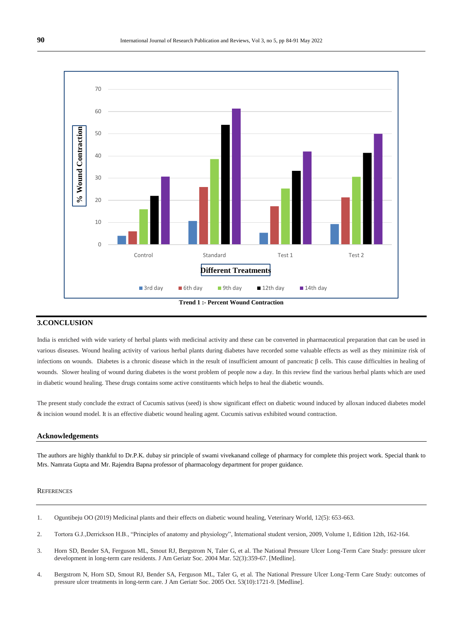

# **3.CONCLUSION**

India is enriched with wide variety of herbal plants with medicinal activity and these can be converted in pharmaceutical preparation that can be used in various diseases. Wound healing activity of various herbal plants during diabetes have recorded some valuable effects as well as they minimize risk of infections on wounds. Diabetes is a chronic disease which in the result of insufficient amount of pancreatic β cells. This cause difficulties in healing of wounds. Slower healing of wound during diabetes is the worst problem of people now a day. In this review find the various herbal plants which are used in diabetic wound healing. These drugs contains some active constituents which helps to heal the diabetic wounds.

The present study conclude the extract of Cucumis sativus (seed) is show significant effect on diabetic wound induced by alloxan induced diabetes model & incision wound model. It is an effective diabetic wound healing agent. Cucumis sativus exhibited wound contraction.

## **Acknowledgements**

The authors are highly thankful to Dr.P.K. dubay sir principle of swami vivekanand college of pharmacy for complete this project work. Special thank to Mrs. Namrata Gupta and Mr. Rajendra Bapna professor of pharmacology department for proper guidance.

#### **REFERENCES**

- 1. Oguntibeju OO (2019) Medicinal plants and their effects on diabetic wound healing, Veterinary World, 12(5): 653-663.
- 2. Tortora G.J.,Derrickson H.B., "Principles of anatomy and physiology", International student version, 2009, Volume 1, Edition 12th, 162-164.
- 3. Horn SD, Bender SA, Ferguson ML, Smout RJ, Bergstrom N, Taler G, et al. The National Pressure Ulcer Long-Term Care Study: pressure ulcer development in long-term care residents. J Am Geriatr Soc. 2004 Mar. 52(3):359-67. [\[Medline\].](http://reference.medscape.com/medline/abstract/14962149)
- 4. Bergstrom N, Horn SD, Smout RJ, Bender SA, Ferguson ML, Taler G, et al. The National Pressure Ulcer Long-Term Care Study: outcomes of pressure ulcer treatments in long-term care. J Am Geriatr Soc. 2005 Oct. 53(10):1721-9. [\[Medline\].](http://reference.medscape.com/medline/abstract/16181171)